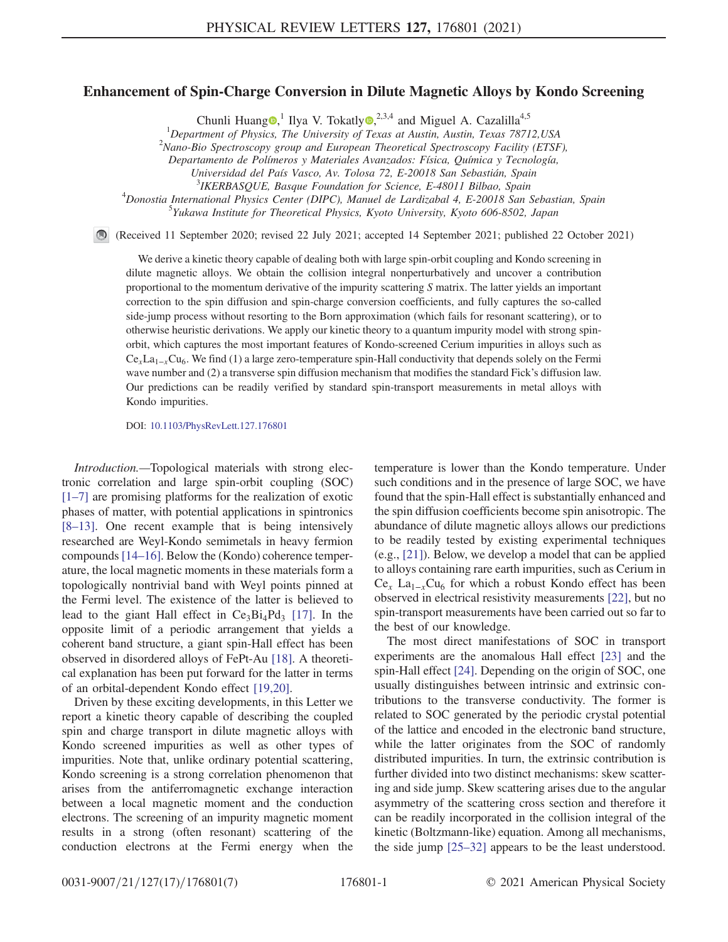## Enhancement of Spin-Charge Conversion in Dilute Magnetic Alloys by Kondo Screening

Chunli Huang  $\bullet$ ,<sup>1</sup> Ilya V. Tokatly  $\bullet$ ,<sup>2,3,4</sup> and Miguel A. Cazalilla<sup>4,5</sup>

<sup>1</sup>Department of Physics, The University of Texas at Austin, Austin, Texas 78712, USA<br><sup>2</sup>Nano Bio Spectroscopy group and European Theoretical Spectroscopy Eqsilip (ETSE

<sup>2</sup>Nano-Bio Spectroscopy group and European Theoretical Spectroscopy Facility (ETSF),

Departamento de Polímeros y Materiales Avanzados: Física, Química y Tecnología,

<sup>3</sup> IKERBASQUE, Basque Foundation for Science, E-48011 Bilbao, Spain<br><sup>4</sup> Depertis International Bhysics Center (DIPC), Manual de Lardizabel 4, E 20018 Sep.

<sup>4</sup>Donostia International Physics Center (DIPC), Manuel de Lardizabal 4, E-20018 San Sebastian, Spain

 $^5$ Yukawa Institute for Theoretical Physics, Kyoto University, Kyoto 606-8502, Japan

(Received 11 September 2020; revised 22 July 2021; accepted 14 September 2021; published 22 October 2021)

We derive a kinetic theory capable of dealing both with large spin-orbit coupling and Kondo screening in dilute magnetic alloys. We obtain the collision integral nonperturbatively and uncover a contribution proportional to the momentum derivative of the impurity scattering S matrix. The latter yields an important correction to the spin diffusion and spin-charge conversion coefficients, and fully captures the so-called side-jump process without resorting to the Born approximation (which fails for resonant scattering), or to otherwise heuristic derivations. We apply our kinetic theory to a quantum impurity model with strong spinorbit, which captures the most important features of Kondo-screened Cerium impurities in alloys such as  $Ce<sub>x</sub>La<sub>1-x</sub>Cu<sub>6</sub>$ . We find (1) a large zero-temperature spin-Hall conductivity that depends solely on the Fermi wave number and (2) a transverse spin diffusion mechanism that modifies the standard Fick's diffusion law. Our predictions can be readily verified by standard spin-transport measurements in metal alloys with Kondo impurities.

DOI: [10.1103/PhysRevLett.127.176801](https://doi.org/10.1103/PhysRevLett.127.176801)

Introduction.—Topological materials with strong electronic correlation and large spin-orbit coupling (SOC) [\[1](#page-4-0)–[7](#page-4-1)] are promising platforms for the realization of exotic phases of matter, with potential applications in spintronics [\[8](#page-4-2)–[13](#page-4-3)]. One recent example that is being intensively researched are Weyl-Kondo semimetals in heavy fermion compounds[[14](#page-4-4)–[16\]](#page-4-5). Below the (Kondo) coherence temperature, the local magnetic moments in these materials form a topologically nontrivial band with Weyl points pinned at the Fermi level. The existence of the latter is believed to lead to the giant Hall effect in  $Ce<sub>3</sub>Bi<sub>4</sub>Pd<sub>3</sub>$  [[17](#page-5-0)]. In the opposite limit of a periodic arrangement that yields a coherent band structure, a giant spin-Hall effect has been observed in disordered alloys of FePt-Au [[18](#page-5-1)]. A theoretical explanation has been put forward for the latter in terms of an orbital-dependent Kondo effect [[19](#page-5-2),[20](#page-5-3)].

Driven by these exciting developments, in this Letter we report a kinetic theory capable of describing the coupled spin and charge transport in dilute magnetic alloys with Kondo screened impurities as well as other types of impurities. Note that, unlike ordinary potential scattering, Kondo screening is a strong correlation phenomenon that arises from the antiferromagnetic exchange interaction between a local magnetic moment and the conduction electrons. The screening of an impurity magnetic moment results in a strong (often resonant) scattering of the conduction electrons at the Fermi energy when the temperature is lower than the Kondo temperature. Under such conditions and in the presence of large SOC, we have found that the spin-Hall effect is substantially enhanced and the spin diffusion coefficients become spin anisotropic. The abundance of dilute magnetic alloys allows our predictions to be readily tested by existing experimental techniques (e.g., [\[21\]](#page-5-4)). Below, we develop a model that can be applied to alloys containing rare earth impurities, such as Cerium in  $Ce<sub>x</sub> La<sub>1-x</sub> Cu<sub>6</sub>$  for which a robust Kondo effect has been observed in electrical resistivity measurements [[22](#page-5-5)], but no spin-transport measurements have been carried out so far to the best of our knowledge.

The most direct manifestations of SOC in transport experiments are the anomalous Hall effect [[23](#page-5-6)] and the spin-Hall effect [\[24\]](#page-5-7). Depending on the origin of SOC, one usually distinguishes between intrinsic and extrinsic contributions to the transverse conductivity. The former is related to SOC generated by the periodic crystal potential of the lattice and encoded in the electronic band structure, while the latter originates from the SOC of randomly distributed impurities. In turn, the extrinsic contribution is further divided into two distinct mechanisms: skew scattering and side jump. Skew scattering arises due to the angular asymmetry of the scattering cross section and therefore it can be readily incorporated in the collision integral of the kinetic (Boltzmann-like) equation. Among all mechanisms, the side jump [[25](#page-5-8)–[32\]](#page-5-9) appears to be the least understood.

Universidad del País Vasco, Av. Tolosa 72, E-20018 San Sebastián, Spain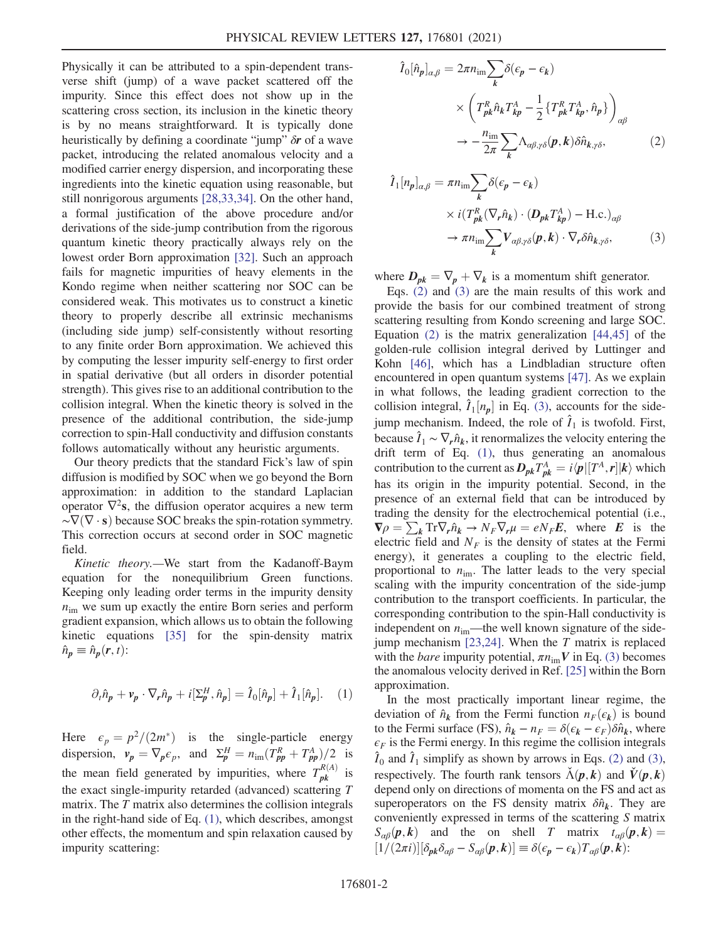Physically it can be attributed to a spin-dependent transverse shift (jump) of a wave packet scattered off the impurity. Since this effect does not show up in the scattering cross section, its inclusion in the kinetic theory is by no means straightforward. It is typically done heuristically by defining a coordinate "jump" δr of a wave packet, introducing the related anomalous velocity and a modified carrier energy dispersion, and incorporating these ingredients into the kinetic equation using reasonable, but still nonrigorous arguments [\[28,](#page-5-10)[33,](#page-5-11)[34\]](#page-5-12). On the other hand, a formal justification of the above procedure and/or derivations of the side-jump contribution from the rigorous quantum kinetic theory practically always rely on the lowest order Born approximation [[32](#page-5-9)]. Such an approach fails for magnetic impurities of heavy elements in the Kondo regime when neither scattering nor SOC can be considered weak. This motivates us to construct a kinetic theory to properly describe all extrinsic mechanisms (including side jump) self-consistently without resorting to any finite order Born approximation. We achieved this by computing the lesser impurity self-energy to first order in spatial derivative (but all orders in disorder potential strength). This gives rise to an additional contribution to the collision integral. When the kinetic theory is solved in the presence of the additional contribution, the side-jump correction to spin-Hall conductivity and diffusion constants follows automatically without any heuristic arguments.

Our theory predicts that the standard Fick's law of spin diffusion is modified by SOC when we go beyond the Born approximation: in addition to the standard Laplacian operator  $\nabla^2$ s, the diffusion operator acquires a new term  $\sim \nabla(\nabla \cdot \mathbf{s})$  because SOC breaks the spin-rotation symmetry. This correction occurs at second order in SOC magnetic field.

Kinetic theory.—We start from the Kadanoff-Baym equation for the nonequilibrium Green functions. Keeping only leading order terms in the impurity density  $n_{\text{im}}$  we sum up exactly the entire Born series and perform gradient expansion, which allows us to obtain the following kinetic equations [[35](#page-5-13)] for the spin-density matrix  $\hat{n}_p \equiv \hat{n}_p(\mathbf{r}, t)$ :

<span id="page-1-0"></span>
$$
\partial_t \hat{n}_p + \mathbf{v}_p \cdot \nabla_r \hat{n}_p + i[\Sigma_p^H, \hat{n}_p] = \hat{I}_0[\hat{n}_p] + \hat{I}_1[\hat{n}_p]. \quad (1)
$$

<span id="page-1-1"></span>Here  $\epsilon_p = p^2/(2m^*)$  is the single-particle energy dispersion,  $v_p = \nabla_p \epsilon_p$ , and  $\Sigma_p^H = n_{\text{im}} (T_{pp}^R + T_{pp}^A)/2$  is the mean field generated by impurities, where  $T_{pk}^{R(A)}$  is the exact single-impurity retarded (advanced) scattering T matrix. The T matrix also determines the collision integrals in the right-hand side of Eq. [\(1\)](#page-1-0), which describes, amongst other effects, the momentum and spin relaxation caused by impurity scattering:

$$
\hat{I}_{0}[\hat{n}_{p}]_{\alpha,\beta} = 2\pi n_{\text{im}} \sum_{k} \delta(\epsilon_{p} - \epsilon_{k})
$$
\n
$$
\times \left( T_{pk}^{R} \hat{n}_{k} T_{kp}^{A} - \frac{1}{2} \{ T_{pk}^{R} T_{kp}^{A}, \hat{n}_{p} \} \right)_{\alpha\beta}
$$
\n
$$
\rightarrow -\frac{n_{\text{im}}}{2\pi} \sum_{k} \Lambda_{\alpha\beta,\gamma\delta}(p, k) \delta \hat{n}_{k,\gamma\delta}, \tag{2}
$$

<span id="page-1-2"></span>
$$
\hat{I}_{1}[n_{p}]_{\alpha,\beta} = \pi n_{\text{im}} \sum_{k} \delta(\epsilon_{p} - \epsilon_{k})
$$
\n
$$
\times i(T_{pk}^{R}(\nabla_{r} \hat{n}_{k}) \cdot (D_{pk} T_{kp}^{A}) - \text{H.c.})_{\alpha\beta}
$$
\n
$$
\to \pi n_{\text{im}} \sum_{k} V_{\alpha\beta,\gamma\delta}(p,k) \cdot \nabla_{r} \delta \hat{n}_{k,\gamma\delta}, \tag{3}
$$

where  $D_{pk} = \nabla_p + \nabla_k$  is a momentum shift generator.

Eqs. [\(2\)](#page-1-1) and [\(3\)](#page-1-2) are the main results of this work and provide the basis for our combined treatment of strong scattering resulting from Kondo screening and large SOC. Equation [\(2\)](#page-1-1) is the matrix generalization [\[44,](#page-5-14)[45\]](#page-5-15) of the golden-rule collision integral derived by Luttinger and Kohn [[46](#page-5-16)], which has a Lindbladian structure often encountered in open quantum systems [[47](#page-5-17)]. As we explain in what follows, the leading gradient correction to the collision integral,  $\hat{I}_1[n_p]$  in Eq. [\(3\),](#page-1-2) accounts for the side-<br>iump-mechanism. Indeed, the role of  $\hat{I}_1$  is twofold. First, jump mechanism. Indeed, the role of  $\hat{I}_1$  is twofold. First, because  $\hat{I}_1 \sim \nabla_r \hat{n}_k$ , it renormalizes the velocity entering the drift term of Eq. [\(1\),](#page-1-0) thus generating an anomalous contribution to the current as  $D_{pk}T_{pk}^{A} = i\langle p|[T^{A}, r]|k\rangle$  which<br>health agricing in the impurity potential. Second in the has its origin in the impurity potential. Second, in the presence of an external field that can be introduced by trading the density for the electrochemical potential (i.e.,  $\nabla \rho = \sum_k \text{Tr} \nabla_r \hat{n}_k \rightarrow N_F \nabla_r \mu = e N_F E$ , where E is the electric field and  $N_F$  is the density of states at the Fermi energy), it generates a coupling to the electric field, proportional to  $n_{\text{im}}$ . The latter leads to the very special scaling with the impurity concentration of the side-jump contribution to the transport coefficients. In particular, the corresponding contribution to the spin-Hall conductivity is independent on  $n_{\text{im}}$ —the well known signature of the sidejump mechanism  $[23,24]$  $[23,24]$  $[23,24]$  $[23,24]$  $[23,24]$ . When the T matrix is replaced with the *bare* impurity potential,  $\pi n_{\text{im}} V$  in Eq. [\(3\)](#page-1-2) becomes the anomalous velocity derived in Ref. [\[25\]](#page-5-8) within the Born approximation.

In the most practically important linear regime, the deviation of  $\hat{n}_k$  from the Fermi function  $n_F(\epsilon_k)$  is bound to the Fermi surface (FS),  $\hat{n}_k - n_F = \delta(\epsilon_k - \epsilon_F) \delta \hat{n}_k$ , where  $\epsilon_F$  is the Fermi energy. In this regime the collision integrals  $\hat{\mathcal{I}}_0$  and  $\hat{\mathcal{I}}_1$  simplify as shown by arrows in Eqs. [\(2\)](#page-1-1) and [\(3\)](#page-1-2), respectively. The fourth rank tensors  $\check{\Lambda}(\mathbf{p},\mathbf{k})$  and  $\check{V}(\mathbf{p},\mathbf{k})$ depend only on directions of momenta on the FS and act as superoperators on the FS density matrix  $\delta \hat{n}_k$ . They are conveniently expressed in terms of the scattering S matrix  $S_{\alpha\beta}(\boldsymbol{p},\boldsymbol{k})$  and the on shell T matrix  $t_{\alpha\beta}(\boldsymbol{p},\boldsymbol{k})=$  $[1/(2\pi i)][\delta_{p\mathbf{k}}\delta_{\alpha\beta} - S_{\alpha\beta}(\mathbf{p},\mathbf{k})] \equiv \delta(\epsilon_{\mathbf{p}} - \epsilon_{\mathbf{k}})T_{\alpha\beta}(\mathbf{p},\mathbf{k})$ :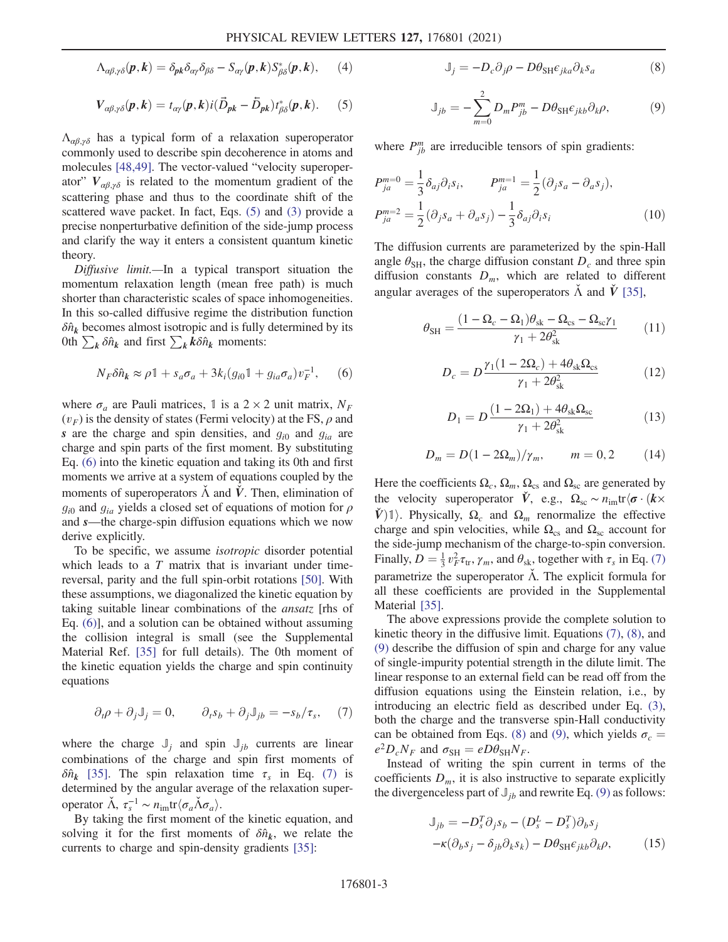$$
\Lambda_{\alpha\beta,\gamma\delta}(\boldsymbol{p},\boldsymbol{k}) = \delta_{\boldsymbol{p}\boldsymbol{k}} \delta_{\alpha\gamma} \delta_{\beta\delta} - S_{\alpha\gamma}(\boldsymbol{p},\boldsymbol{k}) S_{\beta\delta}^*(\boldsymbol{p},\boldsymbol{k}), \qquad (4)
$$

<span id="page-2-0"></span>
$$
V_{\alpha\beta,\gamma\delta}(\boldsymbol{p},\boldsymbol{k})=t_{\alpha\gamma}(\boldsymbol{p},\boldsymbol{k})i(\vec{D}_{\boldsymbol{p}\boldsymbol{k}}-\tilde{D}_{\boldsymbol{p}\boldsymbol{k}})t_{\beta\delta}^*(\boldsymbol{p},\boldsymbol{k}).\qquad(5)
$$

 $\Lambda_{\alpha\beta,\gamma\delta}$  has a typical form of a relaxation superoperator commonly used to describe spin decoherence in atoms and molecules [[48](#page-5-18),[49](#page-5-19)]. The vector-valued "velocity superoperator"  $V_{\alpha\beta,\gamma\delta}$  is related to the momentum gradient of the scattering phase and thus to the coordinate shift of the scattered wave packet. In fact, Eqs. [\(5\)](#page-2-0) and [\(3\)](#page-1-2) provide a precise nonperturbative definition of the side-jump process and clarify the way it enters a consistent quantum kinetic theory.

<span id="page-2-1"></span>Diffusive limit.—In a typical transport situation the momentum relaxation length (mean free path) is much shorter than characteristic scales of space inhomogeneities. In this so-called diffusive regime the distribution function  $\delta \hat{n}_k$  becomes almost isotropic and is fully determined by its 0th  $\sum_{k} \delta \hat{n}_{k}$  and first  $\sum_{k} k \delta \hat{n}_{k}$  moments:

$$
N_F \delta \hat{n}_k \approx \rho \mathbb{1} + s_a \sigma_a + 3k_i (g_{i0} \mathbb{1} + g_{ia} \sigma_a) v_F^{-1}, \quad (6)
$$

where  $\sigma_a$  are Pauli matrices, 1 is a 2 × 2 unit matrix,  $N_F$  $(v_F)$  is the density of states (Fermi velocity) at the FS,  $\rho$  and s are the charge and spin densities, and  $g_{i0}$  and  $g_{ia}$  are charge and spin parts of the first moment. By substituting Eq. [\(6\)](#page-2-1) into the kinetic equation and taking its 0th and first moments we arrive at a system of equations coupled by the moments of superoperators  $\tilde{\Lambda}$  and  $\tilde{V}$ . Then, elimination of  $g_{i0}$  and  $g_{ia}$  yields a closed set of equations of motion for  $\rho$ and s—the charge-spin diffusion equations which we now derive explicitly.

To be specific, we assume isotropic disorder potential which leads to a  $T$  matrix that is invariant under timereversal, parity and the full spin-orbit rotations [[50](#page-5-20)]. With these assumptions, we diagonalized the kinetic equation by taking suitable linear combinations of the ansatz [rhs of Eq. [\(6\)](#page-2-1)], and a solution can be obtained without assuming the collision integral is small (see the Supplemental Material Ref. [[35](#page-5-13)] for full details). The 0th moment of the kinetic equation yields the charge and spin continuity equations

<span id="page-2-2"></span>
$$
\partial_t \rho + \partial_j J_j = 0, \qquad \partial_t s_b + \partial_j J_{jb} = -s_b/\tau_s, \quad (7)
$$

where the charge  $J_i$  and spin  $J_{ib}$  currents are linear combinations of the charge and spin first moments of  $\delta \hat{n}_k$  [[35](#page-5-13)]. The spin relaxation time  $\tau_s$  in Eq. [\(7\)](#page-2-2) is determined by the angular average of the relaxation superoperator  $\check{\Lambda}$ ,  $\tau_s^{-1} \sim n_{\text{im}} \text{tr} \langle \sigma_a \check{\Lambda} \sigma_a \rangle$ .<br>By taking the first moment of

<span id="page-2-3"></span>By taking the first moment of the kinetic equation, and solving it for the first moments of  $\delta \hat{n}_k$ , we relate the currents to charge and spin-density gradients [\[35\]](#page-5-13):

$$
\mathbb{J}_j = -D_c \partial_j \rho - D\theta_{\mathrm{SH}} \epsilon_{jka} \partial_k s_a \tag{8}
$$

<span id="page-2-4"></span>
$$
\mathbb{J}_{jb} = -\sum_{m=0}^{2} D_m P_{jb}^m - D\theta_{\text{SH}} \epsilon_{jkb} \partial_k \rho, \tag{9}
$$

where  $P_{jb}^{m}$  are irreducible tensors of spin gradients:

$$
P_{ja}^{m=0} = \frac{1}{3} \delta_{aj} \partial_i s_i, \qquad P_{ja}^{m=1} = \frac{1}{2} (\partial_j s_a - \partial_a s_j),
$$
  

$$
P_{ja}^{m=2} = \frac{1}{2} (\partial_j s_a + \partial_a s_j) - \frac{1}{3} \delta_{aj} \partial_i s_i
$$
 (10)

The diffusion currents are parameterized by the spin-Hall angle  $\theta_{\rm SH}$ , the charge diffusion constant  $D_c$  and three spin diffusion constants  $D_m$ , which are related to different angular averages of the superoperators  $\Lambda$  and  $\dot{V}$  [\[35\]](#page-5-13),

$$
\theta_{\rm SH} = \frac{(1 - \Omega_c - \Omega_1)\theta_{\rm sk} - \Omega_{\rm cs} - \Omega_{\rm sc}\gamma_1}{\gamma_1 + 2\theta_{\rm sk}^2} \tag{11}
$$

$$
D_c = D \frac{\gamma_1 (1 - 2\Omega_c) + 4\theta_{sk} \Omega_{cs}}{\gamma_1 + 2\theta_{sk}^2}
$$
(12)

$$
D_1 = D \frac{(1 - 2\Omega_1) + 4\theta_{sk}\Omega_{sc}}{\gamma_1 + 2\theta_{sk}^2}
$$
 (13)

$$
D_m = D(1 - 2\Omega_m)/\gamma_m, \qquad m = 0, 2 \tag{14}
$$

Here the coefficients  $\Omega_c$ ,  $\Omega_m$ ,  $\Omega_{cs}$  and  $\Omega_{sc}$  are generated by the velocity superoperator  $\dot{V}$ , e.g.,  $\Omega_{\rm sc} \sim n_{\rm im} \text{tr} \langle \sigma \cdot (k \times$  $V$ <sup> $\parallel$ </sup>)<sup>1</sup>. Physically,  $\Omega_c$  and  $\Omega_m$  renormalize the effective charge and spin velocities, while  $\Omega_{\text{cs}}$  and  $\Omega_{\text{sc}}$  account for the side-jump mechanism of the charge-to-spin conversion. Finally,  $D = \frac{1}{3} v_F^2 \tau_{tr}$ ,  $\gamma_m$ , and  $\theta_{sk}$ , together with  $\tau_s$  in Eq. [\(7\)](#page-2-2) parametrize the superoperator  $\tilde{\Lambda}$ . The explicit formula for all these coefficients are provided in the Supplemental Material [\[35](#page-5-13)].

The above expressions provide the complete solution to kinetic theory in the diffusive limit. Equations [\(7\)](#page-2-2), [\(8\),](#page-2-3) and [\(9\)](#page-2-4) describe the diffusion of spin and charge for any value of single-impurity potential strength in the dilute limit. The linear response to an external field can be read off from the diffusion equations using the Einstein relation, i.e., by introducing an electric field as described under Eq. [\(3\)](#page-1-2), both the charge and the transverse spin-Hall conductivity can be obtained from Eqs. [\(8\)](#page-2-3) and [\(9\)](#page-2-4), which yields  $\sigma_c =$  $e^2D_cN_F$  and  $\sigma_{\text{SH}} = eD\theta_{\text{SH}}N_F$ .

<span id="page-2-5"></span>Instead of writing the spin current in terms of the coefficients  $D_m$ , it is also instructive to separate explicitly the divergenceless part of  $\mathbb{J}_{ib}$  and rewrite Eq. [\(9\)](#page-2-4) as follows:

$$
\mathbb{J}_{jb} = -D_s^T \partial_j s_b - (D_s^L - D_s^T) \partial_b s_j
$$

$$
-\kappa (\partial_b s_j - \delta_{jb} \partial_k s_k) - D\theta_{SH} \epsilon_{jkb} \partial_k \rho,
$$
(15)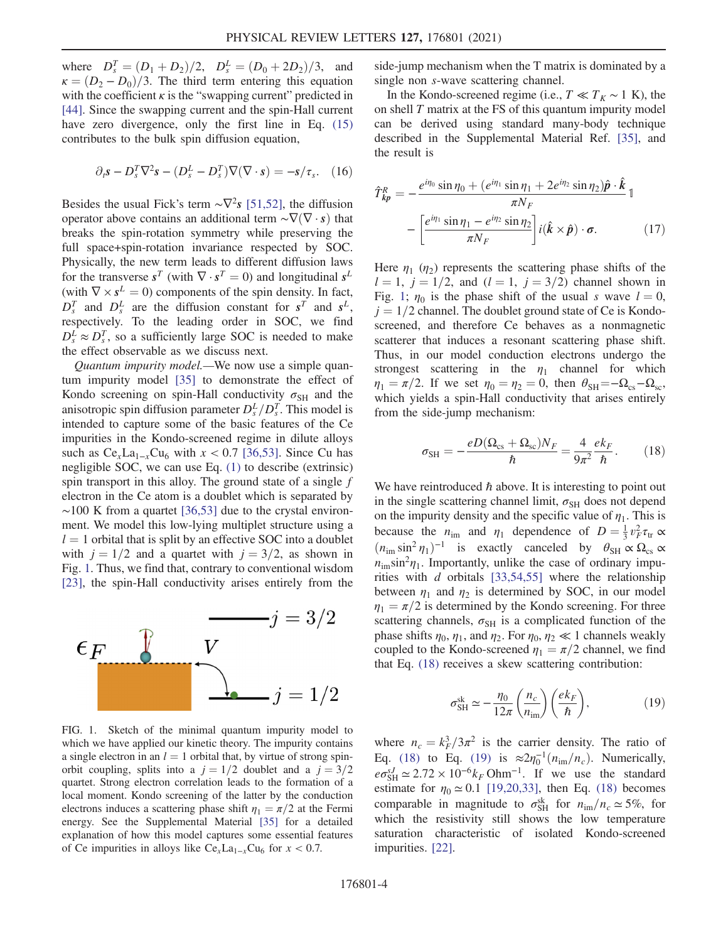where  $D_s^T = (D_1 + D_2)/2$ ,  $D_s^T = (D_0 + 2D_2)/3$ , and<br> $\kappa = (D_0 - D_2)/3$ . The third term entering this equation  $\kappa = (D_2 - D_0)/3$ . The third term entering this equation with the coefficient  $\kappa$  is the "swapping current" predicted in [\[44\]](#page-5-14). Since the swapping current and the spin-Hall current have zero divergence, only the first line in Eq.  $(15)$ contributes to the bulk spin diffusion equation,

<span id="page-3-4"></span>
$$
\partial_t \mathbf{s} - D_s^T \nabla^2 \mathbf{s} - (D_s^L - D_s^T) \nabla (\nabla \cdot \mathbf{s}) = -\mathbf{s} / \tau_s. \tag{16}
$$

Besides the usual Fick's term  $\sim \nabla^2 s$  [[51](#page-5-21),[52](#page-5-22)], the diffusion operator above contains an additional term  $\sim \nabla(\nabla \cdot \mathbf{s})$  that breaks the spin-rotation symmetry while preserving the full space+spin-rotation invariance respected by SOC. Physically, the new term leads to different diffusion laws for the transverse  $s^T$  (with  $\nabla \cdot s^T = 0$ ) and longitudinal  $s^L$ (with  $\nabla \times s^L = 0$ ) components of the spin density. In fact,  $D_s^T$  and  $D_s^L$  are the diffusion constant for  $s^T$  and  $s^L$ , respectively. To the leading order in SOC, we find  $D_s^L \approx D_s^T$ , so a sufficiently large SOC is needed to make the effect observable as we discuss next.

Quantum impurity model.—We now use a simple quantum impurity model [[35](#page-5-13)] to demonstrate the effect of Kondo screening on spin-Hall conductivity  $\sigma_{\text{SH}}$  and the anisotropic spin diffusion parameter  $D_s^L/D_s^T$ . This model is intended to capture some of the basic features of the Ce impurities in the Kondo-screened regime in dilute alloys such as  $Ce_x La_{1-x}Cu_6$  with  $x < 0.7$  [\[36](#page-5-23)[,53\]](#page-5-24). Since Cu has negligible SOC, we can use Eq. [\(1\)](#page-1-0) to describe (extrinsic) spin transport in this alloy. The ground state of a single  $f$ electron in the Ce atom is a doublet which is separated by  $~\sim$ 100 K from a quartet [[36](#page-5-23),[53](#page-5-24)] due to the crystal environment. We model this low-lying multiplet structure using a  $l = 1$  orbital that is split by an effective SOC into a doublet with  $j = 1/2$  and a quartet with  $j = 3/2$ , as shown in Fig. [1](#page-3-0). Thus, we find that, contrary to conventional wisdom [\[23\]](#page-5-6), the spin-Hall conductivity arises entirely from the

<span id="page-3-0"></span>

FIG. 1. Sketch of the minimal quantum impurity model to which we have applied our kinetic theory. The impurity contains a single electron in an  $l = 1$  orbital that, by virtue of strong spinorbit coupling, splits into a  $j = 1/2$  doublet and a  $j = 3/2$ quartet. Strong electron correlation leads to the formation of a local moment. Kondo screening of the latter by the conduction electrons induces a scattering phase shift  $\eta_1 = \pi/2$  at the Fermi energy. See the Supplemental Material [\[35\]](#page-5-13) for a detailed explanation of how this model captures some essential features of Ce impurities in alloys like  $Ce_xLa_{1-x}Cu_6$  for  $x < 0.7$ .

side-jump mechanism when the T matrix is dominated by a single non s-wave scattering channel.

In the Kondo-screened regime (i.e.,  $T \ll T_K \sim 1$  K), the on shell  $T$  matrix at the FS of this quantum impurity model can be derived using standard many-body technique described in the Supplemental Material Ref. [[35](#page-5-13)], and the result is

<span id="page-3-3"></span>
$$
\hat{T}_{kp}^R = -\frac{e^{i\eta_0} \sin \eta_0 + (e^{i\eta_1} \sin \eta_1 + 2e^{i\eta_2} \sin \eta_2)\hat{\boldsymbol{p}} \cdot \hat{\boldsymbol{k}}}{\pi N_F} - \left[\frac{e^{i\eta_1} \sin \eta_1 - e^{i\eta_2} \sin \eta_2}{\pi N_F}\right] i(\hat{\boldsymbol{k}} \times \hat{\boldsymbol{p}}) \cdot \boldsymbol{\sigma}.
$$
\n(17)

Here  $\eta_1$  ( $\eta_2$ ) represents the scattering phase shifts of the  $l = 1, j = 1/2,$  and  $(l = 1, j = 3/2)$  channel shown in Fig. [1](#page-3-0);  $\eta_0$  is the phase shift of the usual s wave  $l = 0$ ,  $j = 1/2$  channel. The doublet ground state of Ce is Kondoscreened, and therefore Ce behaves as a nonmagnetic scatterer that induces a resonant scattering phase shift. Thus, in our model conduction electrons undergo the strongest scattering in the  $\eta_1$  channel for which  $\eta_1 = \pi/2$ . If we set  $\eta_0 = \eta_2 = 0$ , then  $\theta_{\text{SH}} = -\Omega_{\text{cs}} - \Omega_{\text{sc}}$ , which yields a spin-Hall conductivity that arises entirely from the side-jump mechanism:

<span id="page-3-1"></span>
$$
\sigma_{\text{SH}} = -\frac{eD(\Omega_{\text{cs}} + \Omega_{\text{sc}})N_F}{\hbar} = \frac{4}{9\pi^2} \frac{ek_F}{\hbar}.
$$
 (18)

We have reintroduced  $\hbar$  above. It is interesting to point out in the single scattering channel limit,  $\sigma_{SH}$  does not depend on the impurity density and the specific value of  $\eta_1$ . This is because the  $n_{\text{im}}$  and  $n_1$  dependence of  $D = \frac{1}{3} v_F^2 \tau_{tr} \propto$  $(n_{\text{im}} \sin^2 \eta_1)^{-1}$  is exactly canceled by  $\theta_{\text{SH}} \propto \Omega_{\text{cs}} \propto$  $n_{\text{im}}\sin^2\eta_1$ . Importantly, unlike the case of ordinary impurities with  $d$  orbitals [\[33](#page-5-11)[,54,](#page-5-25)[55](#page-6-0)] where the relationship between  $\eta_1$  and  $\eta_2$  is determined by SOC, in our model  $\eta_1 = \pi/2$  is determined by the Kondo screening. For three scattering channels,  $\sigma_{\text{SH}}$  is a complicated function of the phase shifts  $\eta_0$ ,  $\eta_1$ , and  $\eta_2$ . For  $\eta_0$ ,  $\eta_2 \ll 1$  channels weakly coupled to the Kondo-screened  $\eta_1 = \pi/2$  channel, we find that Eq. [\(18\)](#page-3-1) receives a skew scattering contribution:

<span id="page-3-2"></span>
$$
\sigma_{\text{SH}}^{\text{sk}} \simeq -\frac{\eta_0}{12\pi} \left( \frac{n_c}{n_{\text{im}}} \right) \left( \frac{ek_F}{\hbar} \right),\tag{19}
$$

where  $n_c = k_f^3/3\pi^2$  is the carrier density. The ratio of<br>Eq. (18) to Eq. (19) is  $\approx 2n^{-1}(n_c/n)$ . Numerically Eq. [\(18\)](#page-3-1) to Eq. [\(19\)](#page-3-2) is  $\approx 2\eta_0^{-1}(n_{\rm im}/n_c)$ . Numerically,  $e\sigma_{\text{SH}}^{sJ} \simeq 2.72 \times 10^{-6} k_F \text{Ohm}^{-1}$ . If we use the standard estimate for  $\eta_0 \approx 0.1$  [[19](#page-5-2),[20](#page-5-3)[,33\]](#page-5-11), then Eq. [\(18\)](#page-3-1) becomes comparable in magnitude to  $\sigma_{\text{SH}}^{\text{sk}}$  for  $n_{\text{im}}/n_c \simeq 5\%$ , for which the resistivity still shows the low temperature saturation characteristic of isolated Kondo-screened impurities. [[22](#page-5-5)].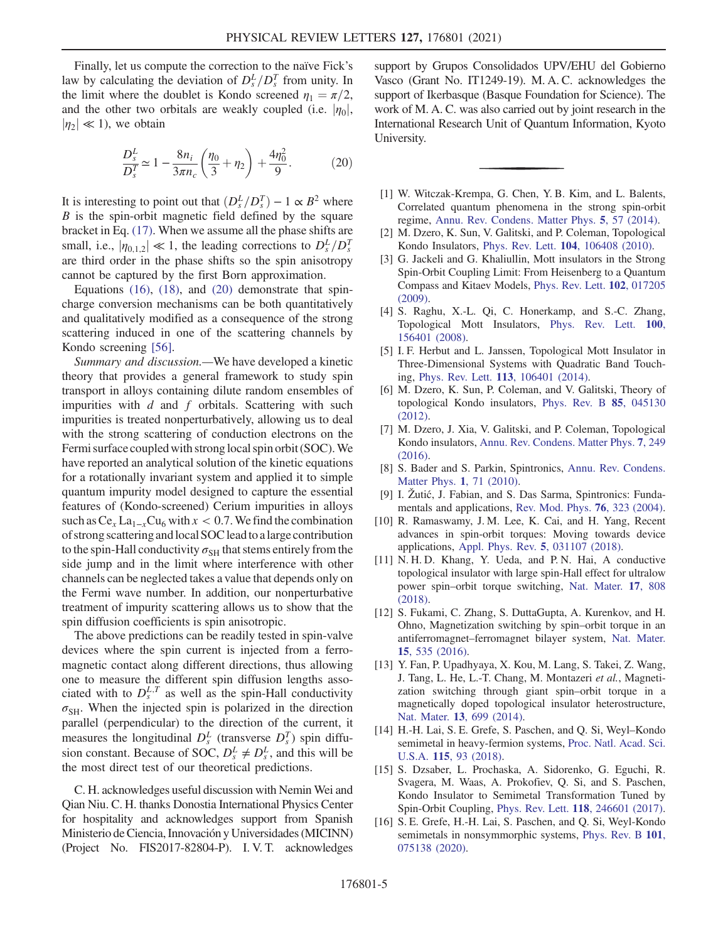<span id="page-4-6"></span>Finally, let us compute the correction to the naïve Fick's law by calculating the deviation of  $D_s^L/D_s^T$  from unity. In the limit where the doublet is Kondo screened  $\eta_1 = \pi/2$ , and the other two orbitals are weakly coupled (i.e.  $|\eta_0|$ ,  $|\eta_2| \ll 1$ ), we obtain

$$
\frac{D_s^L}{D_s^T} \simeq 1 - \frac{8n_i}{3\pi n_c} \left(\frac{\eta_0}{3} + \eta_2\right) + \frac{4\eta_0^2}{9}.
$$
 (20)

It is interesting to point out that  $(D_s^L/D_s^T) - 1 \propto B^2$  where  $B$  is the sound magnetic field defined by the source  $B$  is the spin-orbit magnetic field defined by the square bracket in Eq. [\(17\)](#page-3-3). When we assume all the phase shifts are small, i.e.,  $|\eta_{0,1,2}| \ll 1$ , the leading corrections to  $D_s^L/D_s^T$ <br>are third order in the phase shifts so the spin anisotropy are third order in the phase shifts so the spin anisotropy cannot be captured by the first Born approximation.

Equations  $(16)$ ,  $(18)$ , and  $(20)$  demonstrate that spincharge conversion mechanisms can be both quantitatively and qualitatively modified as a consequence of the strong scattering induced in one of the scattering channels by Kondo screening [[56](#page-6-1)].

Summary and discussion.—We have developed a kinetic theory that provides a general framework to study spin transport in alloys containing dilute random ensembles of impurities with  $d$  and  $f$  orbitals. Scattering with such impurities is treated nonperturbatively, allowing us to deal with the strong scattering of conduction electrons on the Fermi surface coupled with strong local spin orbit (SOC). We have reported an analytical solution of the kinetic equations for a rotationally invariant system and applied it to simple quantum impurity model designed to capture the essential features of (Kondo-screened) Cerium impurities in alloys such as  $Ce_x La_{1-x}Cu_6$  with  $x < 0.7$ . We find the combination of strong scattering andlocal SOCleadto alarge contribution to the spin-Hall conductivity  $\sigma_{SH}$  that stems entirely from the side jump and in the limit where interference with other channels can be neglected takes a value that depends only on the Fermi wave number. In addition, our nonperturbative treatment of impurity scattering allows us to show that the spin diffusion coefficients is spin anisotropic.

The above predictions can be readily tested in spin-valve devices where the spin current is injected from a ferromagnetic contact along different directions, thus allowing one to measure the different spin diffusion lengths associated with to  $D_s^{L,T}$  as well as the spin-Hall conductivity  $\sigma_{\text{SH}}$ . When the injected spin is polarized in the direction parallel (perpendicular) to the direction of the current, it measures the longitudinal  $D_s^L$  (transverse  $D_s^T$ ) spin diffusion constant. Because of SOC,  $D_s^L \neq D_s^L$ , and this will be the most direct test of our theoretical predictions.

C. H. acknowledges useful discussion with Nemin Wei and Qian Niu. C. H. thanks Donostia International Physics Center for hospitality and acknowledges support from Spanish Ministerio de Ciencia, Innovación y Universidades (MICINN) (Project No. FIS2017-82804-P). I. V. T. acknowledges

support by Grupos Consolidados UPV/EHU del Gobierno Vasco (Grant No. IT1249-19). M. A. C. acknowledges the support of Ikerbasque (Basque Foundation for Science). The work of M. A. C. was also carried out by joint research in the International Research Unit of Quantum Information, Kyoto University.

- <span id="page-4-0"></span>[1] W. Witczak-Krempa, G. Chen, Y. B. Kim, and L. Balents, Correlated quantum phenomena in the strong spin-orbit regime, [Annu. Rev. Condens. Matter Phys.](https://doi.org/10.1146/annurev-conmatphys-020911-125138) 5, 57 (2014).
- [2] M. Dzero, K. Sun, V. Galitski, and P. Coleman, Topological Kondo Insulators, Phys. Rev. Lett. 104[, 106408 \(2010\)](https://doi.org/10.1103/PhysRevLett.104.106408).
- [3] G. Jackeli and G. Khaliullin, Mott insulators in the Strong Spin-Orbit Coupling Limit: From Heisenberg to a Quantum Compass and Kitaev Models, [Phys. Rev. Lett.](https://doi.org/10.1103/PhysRevLett.102.017205) 102, 017205 [\(2009\).](https://doi.org/10.1103/PhysRevLett.102.017205)
- [4] S. Raghu, X.-L. Qi, C. Honerkamp, and S.-C. Zhang, Topological Mott Insulators, [Phys. Rev. Lett.](https://doi.org/10.1103/PhysRevLett.100.156401) 100, [156401 \(2008\).](https://doi.org/10.1103/PhysRevLett.100.156401)
- [5] I. F. Herbut and L. Janssen, Topological Mott Insulator in Three-Dimensional Systems with Quadratic Band Touching, Phys. Rev. Lett. 113[, 106401 \(2014\).](https://doi.org/10.1103/PhysRevLett.113.106401)
- [6] M. Dzero, K. Sun, P. Coleman, and V. Galitski, Theory of topological Kondo insulators, [Phys. Rev. B](https://doi.org/10.1103/PhysRevB.85.045130) 85, 045130 [\(2012\).](https://doi.org/10.1103/PhysRevB.85.045130)
- <span id="page-4-1"></span>[7] M. Dzero, J. Xia, V. Galitski, and P. Coleman, Topological Kondo insulators, [Annu. Rev. Condens. Matter Phys.](https://doi.org/10.1146/annurev-conmatphys-031214-014749) 7, 249 [\(2016\).](https://doi.org/10.1146/annurev-conmatphys-031214-014749)
- <span id="page-4-2"></span>[8] S. Bader and S. Parkin, Spintronics, [Annu. Rev. Condens.](https://doi.org/10.1146/annurev-conmatphys-070909-104123) [Matter Phys.](https://doi.org/10.1146/annurev-conmatphys-070909-104123) 1, 71 (2010).
- [9] I. Žutić, J. Fabian, and S. Das Sarma, Spintronics: Fundamentals and applications, [Rev. Mod. Phys.](https://doi.org/10.1103/RevModPhys.76.323) 76, 323 (2004).
- [10] R. Ramaswamy, J. M. Lee, K. Cai, and H. Yang, Recent advances in spin-orbit torques: Moving towards device applications, [Appl. Phys. Rev.](https://doi.org/10.1063/1.5041793) 5, 031107 (2018).
- [11] N. H. D. Khang, Y. Ueda, and P. N. Hai, A conductive topological insulator with large spin-Hall effect for ultralow power spin–orbit torque switching, [Nat. Mater.](https://doi.org/10.1038/s41563-018-0137-y) 17, 808 [\(2018\).](https://doi.org/10.1038/s41563-018-0137-y)
- [12] S. Fukami, C. Zhang, S. DuttaGupta, A. Kurenkov, and H. Ohno, Magnetization switching by spin–orbit torque in an antiferromagnet–ferromagnet bilayer system, [Nat. Mater.](https://doi.org/10.1038/nmat4566) 15[, 535 \(2016\).](https://doi.org/10.1038/nmat4566)
- <span id="page-4-3"></span>[13] Y. Fan, P. Upadhyaya, X. Kou, M. Lang, S. Takei, Z. Wang, J. Tang, L. He, L.-T. Chang, M. Montazeri et al., Magnetization switching through giant spin–orbit torque in a magnetically doped topological insulator heterostructure, Nat. Mater. 13[, 699 \(2014\).](https://doi.org/10.1038/nmat3973)
- <span id="page-4-4"></span>[14] H.-H. Lai, S. E. Grefe, S. Paschen, and Q. Si, Weyl–Kondo semimetal in heavy-fermion systems, [Proc. Natl. Acad. Sci.](https://doi.org/10.1073/pnas.1715851115) U.S.A. 115[, 93 \(2018\)](https://doi.org/10.1073/pnas.1715851115).
- [15] S. Dzsaber, L. Prochaska, A. Sidorenko, G. Eguchi, R. Svagera, M. Waas, A. Prokofiev, Q. Si, and S. Paschen, Kondo Insulator to Semimetal Transformation Tuned by Spin-Orbit Coupling, Phys. Rev. Lett. 118[, 246601 \(2017\).](https://doi.org/10.1103/PhysRevLett.118.246601)
- <span id="page-4-5"></span>[16] S. E. Grefe, H.-H. Lai, S. Paschen, and Q. Si, Weyl-Kondo semimetals in nonsymmorphic systems, [Phys. Rev. B](https://doi.org/10.1103/PhysRevB.101.075138) 101, [075138 \(2020\).](https://doi.org/10.1103/PhysRevB.101.075138)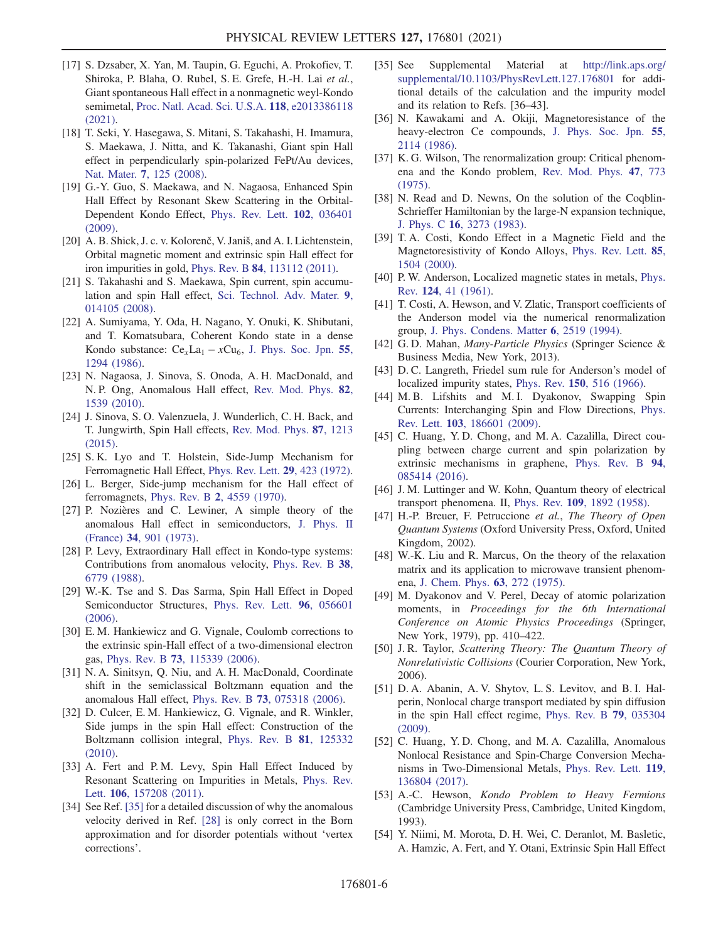- <span id="page-5-0"></span>[17] S. Dzsaber, X. Yan, M. Taupin, G. Eguchi, A. Prokofiev, T. Shiroka, P. Blaha, O. Rubel, S. E. Grefe, H.-H. Lai et al., Giant spontaneous Hall effect in a nonmagnetic weyl-Kondo semimetal, [Proc. Natl. Acad. Sci. U.S.A.](https://doi.org/10.1073/pnas.2013386118) 118, e2013386118 [\(2021\).](https://doi.org/10.1073/pnas.2013386118)
- <span id="page-5-1"></span>[18] T. Seki, Y. Hasegawa, S. Mitani, S. Takahashi, H. Imamura, S. Maekawa, J. Nitta, and K. Takanashi, Giant spin Hall effect in perpendicularly spin-polarized FePt/Au devices, Nat. Mater. 7[, 125 \(2008\).](https://doi.org/10.1038/nmat2098)
- <span id="page-5-2"></span>[19] G.-Y. Guo, S. Maekawa, and N. Nagaosa, Enhanced Spin Hall Effect by Resonant Skew Scattering in the Orbital-Dependent Kondo Effect, [Phys. Rev. Lett.](https://doi.org/10.1103/PhysRevLett.102.036401) 102, 036401 [\(2009\).](https://doi.org/10.1103/PhysRevLett.102.036401)
- <span id="page-5-3"></span>[20] A. B. Shick, J. c. v. Kolorenč, V. Janiš, and A. I. Lichtenstein, Orbital magnetic moment and extrinsic spin Hall effect for iron impurities in gold, Phys. Rev. B 84[, 113112 \(2011\)](https://doi.org/10.1103/PhysRevB.84.113112).
- <span id="page-5-4"></span>[21] S. Takahashi and S. Maekawa, Spin current, spin accumulation and spin Hall effect, [Sci. Technol. Adv. Mater.](https://doi.org/10.1088/1468-6996/9/1/014105) 9, [014105 \(2008\).](https://doi.org/10.1088/1468-6996/9/1/014105)
- <span id="page-5-5"></span>[22] A. Sumiyama, Y. Oda, H. Nagano, Y. Onuki, K. Shibutani, and T. Komatsubara, Coherent Kondo state in a dense Kondo substance:  $Ce_xLa_1 - xCu_6$ , [J. Phys. Soc. Jpn.](https://doi.org/10.1143/JPSJ.55.1294) 55, [1294 \(1986\)](https://doi.org/10.1143/JPSJ.55.1294).
- <span id="page-5-6"></span>[23] N. Nagaosa, J. Sinova, S. Onoda, A. H. MacDonald, and N. P. Ong, Anomalous Hall effect, [Rev. Mod. Phys.](https://doi.org/10.1103/RevModPhys.82.1539) 82, [1539 \(2010\)](https://doi.org/10.1103/RevModPhys.82.1539).
- <span id="page-5-7"></span>[24] J. Sinova, S. O. Valenzuela, J. Wunderlich, C. H. Back, and T. Jungwirth, Spin Hall effects, [Rev. Mod. Phys.](https://doi.org/10.1103/RevModPhys.87.1213) 87, 1213 [\(2015\).](https://doi.org/10.1103/RevModPhys.87.1213)
- <span id="page-5-8"></span>[25] S. K. Lyo and T. Holstein, Side-Jump Mechanism for Ferromagnetic Hall Effect, [Phys. Rev. Lett.](https://doi.org/10.1103/PhysRevLett.29.423) 29, 423 (1972).
- [26] L. Berger, Side-jump mechanism for the Hall effect of ferromagnets, Phys. Rev. B 2[, 4559 \(1970\).](https://doi.org/10.1103/PhysRevB.2.4559)
- [27] P. Nozières and C. Lewiner, A simple theory of the anomalous Hall effect in semiconductors, [J. Phys. II](https://doi.org/10.1051/jphys:019730034010090100) (France) 34[, 901 \(1973\).](https://doi.org/10.1051/jphys:019730034010090100)
- <span id="page-5-10"></span>[28] P. Levy, Extraordinary Hall effect in Kondo-type systems: Contributions from anomalous velocity, [Phys. Rev. B](https://doi.org/10.1103/PhysRevB.38.6779) 38, [6779 \(1988\)](https://doi.org/10.1103/PhysRevB.38.6779).
- [29] W.-K. Tse and S. Das Sarma, Spin Hall Effect in Doped Semiconductor Structures, [Phys. Rev. Lett.](https://doi.org/10.1103/PhysRevLett.96.056601) 96, 056601 [\(2006\).](https://doi.org/10.1103/PhysRevLett.96.056601)
- [30] E. M. Hankiewicz and G. Vignale, Coulomb corrections to the extrinsic spin-Hall effect of a two-dimensional electron gas, Phys. Rev. B 73[, 115339 \(2006\)](https://doi.org/10.1103/PhysRevB.73.115339).
- <span id="page-5-9"></span>[31] N. A. Sinitsyn, Q. Niu, and A. H. MacDonald, Coordinate shift in the semiclassical Boltzmann equation and the anomalous Hall effect, Phys. Rev. B 73[, 075318 \(2006\)](https://doi.org/10.1103/PhysRevB.73.075318).
- [32] D. Culcer, E. M. Hankiewicz, G. Vignale, and R. Winkler, Side jumps in the spin Hall effect: Construction of the Boltzmann collision integral, [Phys. Rev. B](https://doi.org/10.1103/PhysRevB.81.125332) 81, 125332 [\(2010\).](https://doi.org/10.1103/PhysRevB.81.125332)
- <span id="page-5-12"></span><span id="page-5-11"></span>[33] A. Fert and P.M. Levy, Spin Hall Effect Induced by Resonant Scattering on Impurities in Metals, [Phys. Rev.](https://doi.org/10.1103/PhysRevLett.106.157208) Lett. 106[, 157208 \(2011\)](https://doi.org/10.1103/PhysRevLett.106.157208).
- [34] See Ref. [\[35\]](#page-5-13) for a detailed discussion of why the anomalous velocity derived in Ref. [[28](#page-5-10)] is only correct in the Born approximation and for disorder potentials without 'vertex corrections'.
- <span id="page-5-13"></span>[35] See Supplemental Material at [http://link.aps.org/](http://link.aps.org/supplemental/10.1103/PhysRevLett.127.176801) [supplemental/10.1103/PhysRevLett.127.176801](http://link.aps.org/supplemental/10.1103/PhysRevLett.127.176801) for additional details of the calculation and the impurity model and its relation to Refs. [36–43].
- <span id="page-5-23"></span>[36] N. Kawakami and A. Okiji, Magnetoresistance of the heavy-electron Ce compounds, [J. Phys. Soc. Jpn.](https://doi.org/10.1143/JPSJ.55.2114) 55, [2114 \(1986\)](https://doi.org/10.1143/JPSJ.55.2114).
- [37] K. G. Wilson, The renormalization group: Critical phenomena and the Kondo problem, [Rev. Mod. Phys.](https://doi.org/10.1103/RevModPhys.47.773) 47, 773 [\(1975\).](https://doi.org/10.1103/RevModPhys.47.773)
- [38] N. Read and D. Newns, On the solution of the Coqblin-Schrieffer Hamiltonian by the large-N expansion technique, J. Phys. C 16[, 3273 \(1983\).](https://doi.org/10.1088/0022-3719/16/17/014)
- [39] T. A. Costi, Kondo Effect in a Magnetic Field and the Magnetoresistivity of Kondo Alloys, [Phys. Rev. Lett.](https://doi.org/10.1103/PhysRevLett.85.1504) 85, [1504 \(2000\)](https://doi.org/10.1103/PhysRevLett.85.1504).
- [40] P. W. Anderson, Localized magnetic states in metals, [Phys.](https://doi.org/10.1103/PhysRev.124.41) Rev. 124[, 41 \(1961\).](https://doi.org/10.1103/PhysRev.124.41)
- [41] T. Costi, A. Hewson, and V. Zlatic, Transport coefficients of the Anderson model via the numerical renormalization group, [J. Phys. Condens. Matter](https://doi.org/10.1088/0953-8984/6/13/013) 6, 2519 (1994).
- [42] G.D. Mahan, *Many-Particle Physics* (Springer Science & Business Media, New York, 2013).
- [43] D. C. Langreth, Friedel sum rule for Anderson's model of localized impurity states, Phys. Rev. 150[, 516 \(1966\)](https://doi.org/10.1103/PhysRev.150.516).
- <span id="page-5-14"></span>[44] M. B. Lifshits and M. I. Dyakonov, Swapping Spin Currents: Interchanging Spin and Flow Directions, [Phys.](https://doi.org/10.1103/PhysRevLett.103.186601) Rev. Lett. 103[, 186601 \(2009\).](https://doi.org/10.1103/PhysRevLett.103.186601)
- <span id="page-5-15"></span>[45] C. Huang, Y.D. Chong, and M.A. Cazalilla, Direct coupling between charge current and spin polarization by extrinsic mechanisms in graphene, [Phys. Rev. B](https://doi.org/10.1103/PhysRevB.94.085414) 94, [085414 \(2016\).](https://doi.org/10.1103/PhysRevB.94.085414)
- <span id="page-5-16"></span>[46] J. M. Luttinger and W. Kohn, Quantum theory of electrical transport phenomena. II, Phys. Rev. 109[, 1892 \(1958\)](https://doi.org/10.1103/PhysRev.109.1892).
- <span id="page-5-17"></span>[47] H.-P. Breuer, F. Petruccione et al., The Theory of Open Quantum Systems (Oxford University Press, Oxford, United Kingdom, 2002).
- <span id="page-5-18"></span>[48] W.-K. Liu and R. Marcus, On the theory of the relaxation matrix and its application to microwave transient phenomena, [J. Chem. Phys.](https://doi.org/10.1063/1.431055) 63, 272 (1975).
- <span id="page-5-19"></span>[49] M. Dyakonov and V. Perel, Decay of atomic polarization moments, in Proceedings for the 6th International Conference on Atomic Physics Proceedings (Springer, New York, 1979), pp. 410–422.
- <span id="page-5-20"></span>[50] J.R. Taylor, Scattering Theory: The Quantum Theory of Nonrelativistic Collisions (Courier Corporation, New York, 2006).
- <span id="page-5-21"></span>[51] D. A. Abanin, A. V. Shytov, L. S. Levitov, and B. I. Halperin, Nonlocal charge transport mediated by spin diffusion in the spin Hall effect regime, [Phys. Rev. B](https://doi.org/10.1103/PhysRevB.79.035304) 79, 035304 [\(2009\).](https://doi.org/10.1103/PhysRevB.79.035304)
- <span id="page-5-22"></span>[52] C. Huang, Y. D. Chong, and M. A. Cazalilla, Anomalous Nonlocal Resistance and Spin-Charge Conversion Mechanisms in Two-Dimensional Metals, [Phys. Rev. Lett.](https://doi.org/10.1103/PhysRevLett.119.136804) 119, [136804 \(2017\).](https://doi.org/10.1103/PhysRevLett.119.136804)
- <span id="page-5-24"></span>[53] A.-C. Hewson, Kondo Problem to Heavy Fermions (Cambridge University Press, Cambridge, United Kingdom, 1993).
- <span id="page-5-25"></span>[54] Y. Niimi, M. Morota, D. H. Wei, C. Deranlot, M. Basletic, A. Hamzic, A. Fert, and Y. Otani, Extrinsic Spin Hall Effect